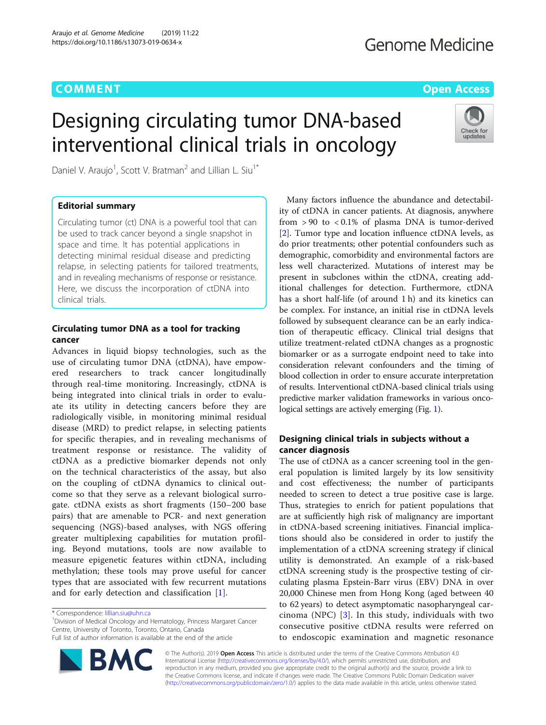# **COMMENT COMMENT COMMENT COMMENT**

Check for updates

# Designing circulating tumor DNA-based interventional clinical trials in oncology

Daniel V. Araujo<sup>1</sup>, Scott V. Bratman<sup>2</sup> and Lillian L. Siu<sup>1\*</sup>

# Editorial summary

Circulating tumor (ct) DNA is a powerful tool that can be used to track cancer beyond a single snapshot in space and time. It has potential applications in detecting minimal residual disease and predicting relapse, in selecting patients for tailored treatments, and in revealing mechanisms of response or resistance. Here, we discuss the incorporation of ctDNA into clinical trials.

# Circulating tumor DNA as a tool for tracking cancer

Advances in liquid biopsy technologies, such as the use of circulating tumor DNA (ctDNA), have empowered researchers to track cancer longitudinally through real-time monitoring. Increasingly, ctDNA is being integrated into clinical trials in order to evaluate its utility in detecting cancers before they are radiologically visible, in monitoring minimal residual disease (MRD) to predict relapse, in selecting patients for specific therapies, and in revealing mechanisms of treatment response or resistance. The validity of ctDNA as a predictive biomarker depends not only on the technical characteristics of the assay, but also on the coupling of ctDNA dynamics to clinical outcome so that they serve as a relevant biological surrogate. ctDNA exists as short fragments (150–200 base pairs) that are amenable to PCR- and next generation sequencing (NGS)-based analyses, with NGS offering greater multiplexing capabilities for mutation profiling. Beyond mutations, tools are now available to measure epigenetic features within ctDNA, including methylation; these tools may prove useful for cancer types that are associated with few recurrent mutations and for early detection and classification [[1\]](#page-3-0).

<sup>1</sup> Division of Medical Oncology and Hematology, Princess Margaret Cancer Centre, University of Toronto, Toronto, Ontario, Canada Full list of author information is available at the end of the article



Many factors influence the abundance and detectability of ctDNA in cancer patients. At diagnosis, anywhere from  $> 90$  to  $< 0.1\%$  of plasma DNA is tumor-derived [[2\]](#page-3-0). Tumor type and location influence ctDNA levels, as do prior treatments; other potential confounders such as demographic, comorbidity and environmental factors are less well characterized. Mutations of interest may be present in subclones within the ctDNA, creating additional challenges for detection. Furthermore, ctDNA has a short half-life (of around 1 h) and its kinetics can be complex. For instance, an initial rise in ctDNA levels followed by subsequent clearance can be an early indication of therapeutic efficacy. Clinical trial designs that utilize treatment-related ctDNA changes as a prognostic biomarker or as a surrogate endpoint need to take into consideration relevant confounders and the timing of blood collection in order to ensure accurate interpretation of results. Interventional ctDNA-based clinical trials using predictive marker validation frameworks in various oncological settings are actively emerging (Fig. [1\)](#page-1-0).

# Designing clinical trials in subjects without a cancer diagnosis

The use of ctDNA as a cancer screening tool in the general population is limited largely by its low sensitivity and cost effectiveness; the number of participants needed to screen to detect a true positive case is large. Thus, strategies to enrich for patient populations that are at sufficiently high risk of malignancy are important in ctDNA-based screening initiatives. Financial implications should also be considered in order to justify the implementation of a ctDNA screening strategy if clinical utility is demonstrated. An example of a risk-based ctDNA screening study is the prospective testing of circulating plasma Epstein-Barr virus (EBV) DNA in over 20,000 Chinese men from Hong Kong (aged between 40 to 62 years) to detect asymptomatic nasopharyngeal carcinoma (NPC)  $[3]$  $[3]$  $[3]$ . In this study, individuals with two consecutive positive ctDNA results were referred on to endoscopic examination and magnetic resonance

© The Author(s). 2019 Open Access This article is distributed under the terms of the Creative Commons Attribution 4.0 International License [\(http://creativecommons.org/licenses/by/4.0/](http://creativecommons.org/licenses/by/4.0/)), which permits unrestricted use, distribution, and reproduction in any medium, provided you give appropriate credit to the original author(s) and the source, provide a link to the Creative Commons license, and indicate if changes were made. The Creative Commons Public Domain Dedication waiver [\(http://creativecommons.org/publicdomain/zero/1.0/](http://creativecommons.org/publicdomain/zero/1.0/)) applies to the data made available in this article, unless otherwise stated.

<sup>\*</sup> Correspondence: [lillian.siu@uhn.ca](mailto:lillian.siu@uhn.ca) <sup>1</sup>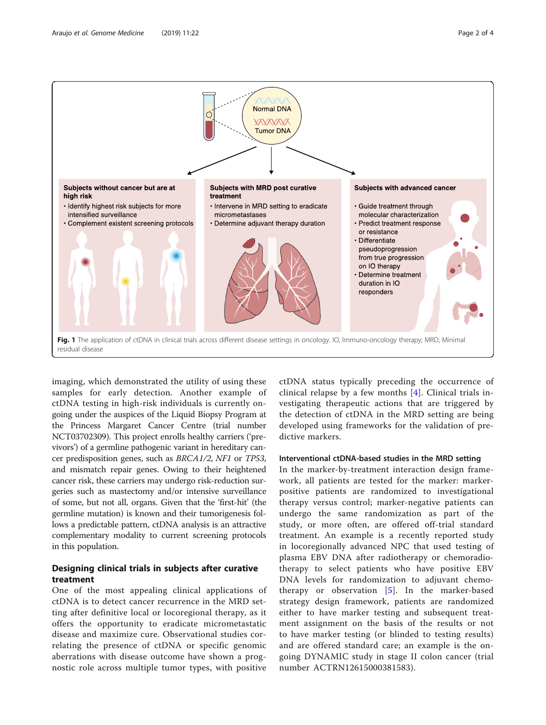<span id="page-1-0"></span>

imaging, which demonstrated the utility of using these samples for early detection. Another example of ctDNA testing in high-risk individuals is currently ongoing under the auspices of the Liquid Biopsy Program at the Princess Margaret Cancer Centre (trial number NCT03702309). This project enrolls healthy carriers ('previvors') of a germline pathogenic variant in hereditary cancer predisposition genes, such as BRCA1/2, NF1 or TP53, and mismatch repair genes. Owing to their heightened cancer risk, these carriers may undergo risk-reduction surgeries such as mastectomy and/or intensive surveillance of some, but not all, organs. Given that the 'first-hit' (the germline mutation) is known and their tumorigenesis follows a predictable pattern, ctDNA analysis is an attractive complementary modality to current screening protocols in this population.

# Designing clinical trials in subjects after curative treatment

One of the most appealing clinical applications of ctDNA is to detect cancer recurrence in the MRD setting after definitive local or locoregional therapy, as it offers the opportunity to eradicate micrometastatic disease and maximize cure. Observational studies correlating the presence of ctDNA or specific genomic aberrations with disease outcome have shown a prognostic role across multiple tumor types, with positive

ctDNA status typically preceding the occurrence of clinical relapse by a few months [[4](#page-3-0)]. Clinical trials investigating therapeutic actions that are triggered by the detection of ctDNA in the MRD setting are being developed using frameworks for the validation of predictive markers.

# Interventional ctDNA-based studies in the MRD setting

In the marker-by-treatment interaction design framework, all patients are tested for the marker: markerpositive patients are randomized to investigational therapy versus control; marker-negative patients can undergo the same randomization as part of the study, or more often, are offered off-trial standard treatment. An example is a recently reported study in locoregionally advanced NPC that used testing of plasma EBV DNA after radiotherapy or chemoradiotherapy to select patients who have positive EBV DNA levels for randomization to adjuvant chemotherapy or observation  $[5]$  $[5]$  $[5]$ . In the marker-based strategy design framework, patients are randomized either to have marker testing and subsequent treatment assignment on the basis of the results or not to have marker testing (or blinded to testing results) and are offered standard care; an example is the ongoing DYNAMIC study in stage II colon cancer (trial number ACTRN12615000381583).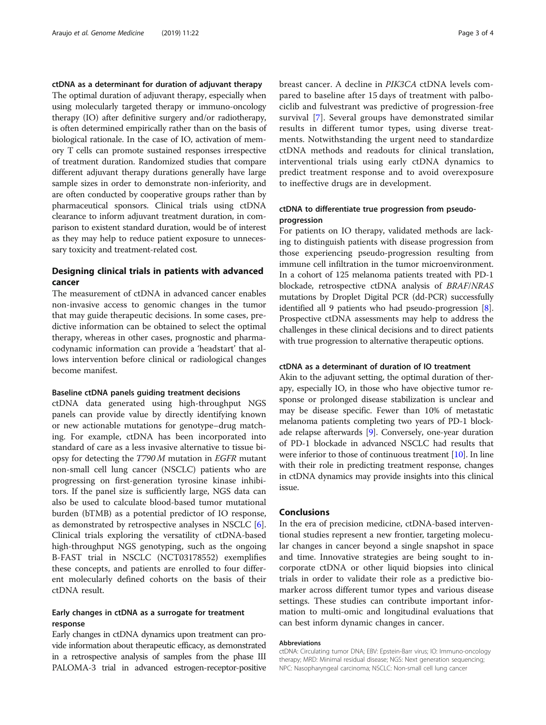ctDNA as a determinant for duration of adjuvant therapy

The optimal duration of adjuvant therapy, especially when using molecularly targeted therapy or immuno-oncology therapy (IO) after definitive surgery and/or radiotherapy, is often determined empirically rather than on the basis of biological rationale. In the case of IO, activation of memory T cells can promote sustained responses irrespective of treatment duration. Randomized studies that compare different adjuvant therapy durations generally have large sample sizes in order to demonstrate non-inferiority, and are often conducted by cooperative groups rather than by pharmaceutical sponsors. Clinical trials using ctDNA clearance to inform adjuvant treatment duration, in comparison to existent standard duration, would be of interest as they may help to reduce patient exposure to unnecessary toxicity and treatment-related cost.

# Designing clinical trials in patients with advanced cancer

The measurement of ctDNA in advanced cancer enables non-invasive access to genomic changes in the tumor that may guide therapeutic decisions. In some cases, predictive information can be obtained to select the optimal therapy, whereas in other cases, prognostic and pharmacodynamic information can provide a 'headstart' that allows intervention before clinical or radiological changes become manifest.

#### Baseline ctDNA panels guiding treatment decisions

ctDNA data generated using high-throughput NGS panels can provide value by directly identifying known or new actionable mutations for genotype–drug matching. For example, ctDNA has been incorporated into standard of care as a less invasive alternative to tissue biopsy for detecting the T790 M mutation in EGFR mutant non-small cell lung cancer (NSCLC) patients who are progressing on first-generation tyrosine kinase inhibitors. If the panel size is sufficiently large, NGS data can also be used to calculate blood-based tumor mutational burden (bTMB) as a potential predictor of IO response, as demonstrated by retrospective analyses in NSCLC [\[6](#page-3-0)]. Clinical trials exploring the versatility of ctDNA-based high-throughput NGS genotyping, such as the ongoing B-FAST trial in NSCLC (NCT03178552) exemplifies these concepts, and patients are enrolled to four different molecularly defined cohorts on the basis of their ctDNA result.

# Early changes in ctDNA as a surrogate for treatment response

Early changes in ctDNA dynamics upon treatment can provide information about therapeutic efficacy, as demonstrated in a retrospective analysis of samples from the phase III PALOMA-3 trial in advanced estrogen-receptor-positive breast cancer. A decline in PIK3CA ctDNA levels compared to baseline after 15 days of treatment with palbociclib and fulvestrant was predictive of progression-free survival [[7\]](#page-3-0). Several groups have demonstrated similar results in different tumor types, using diverse treatments. Notwithstanding the urgent need to standardize ctDNA methods and readouts for clinical translation, interventional trials using early ctDNA dynamics to predict treatment response and to avoid overexposure to ineffective drugs are in development.

# ctDNA to differentiate true progression from pseudoprogression

For patients on IO therapy, validated methods are lacking to distinguish patients with disease progression from those experiencing pseudo-progression resulting from immune cell infiltration in the tumor microenvironment. In a cohort of 125 melanoma patients treated with PD-1 blockade, retrospective ctDNA analysis of BRAF/NRAS mutations by Droplet Digital PCR (dd-PCR) successfully identified all 9 patients who had pseudo-progression [[8](#page-3-0)]. Prospective ctDNA assessments may help to address the challenges in these clinical decisions and to direct patients with true progression to alternative therapeutic options.

#### ctDNA as a determinant of duration of IO treatment

Akin to the adjuvant setting, the optimal duration of therapy, especially IO, in those who have objective tumor response or prolonged disease stabilization is unclear and may be disease specific. Fewer than 10% of metastatic melanoma patients completing two years of PD-1 blockade relapse afterwards [\[9](#page-3-0)]. Conversely, one-year duration of PD-1 blockade in advanced NSCLC had results that were inferior to those of continuous treatment [\[10](#page-3-0)]. In line with their role in predicting treatment response, changes in ctDNA dynamics may provide insights into this clinical issue.

# Conclusions

In the era of precision medicine, ctDNA-based interventional studies represent a new frontier, targeting molecular changes in cancer beyond a single snapshot in space and time. Innovative strategies are being sought to incorporate ctDNA or other liquid biopsies into clinical trials in order to validate their role as a predictive biomarker across different tumor types and various disease settings. These studies can contribute important information to multi-omic and longitudinal evaluations that can best inform dynamic changes in cancer.

#### Abbreviations

ctDNA: Circulating tumor DNA; EBV: Epstein-Barr virus; IO: Immuno-oncology therapy; MRD: Minimal residual disease; NGS: Next generation sequencing; NPC: Nasopharyngeal carcinoma; NSCLC: Non-small cell lung cancer